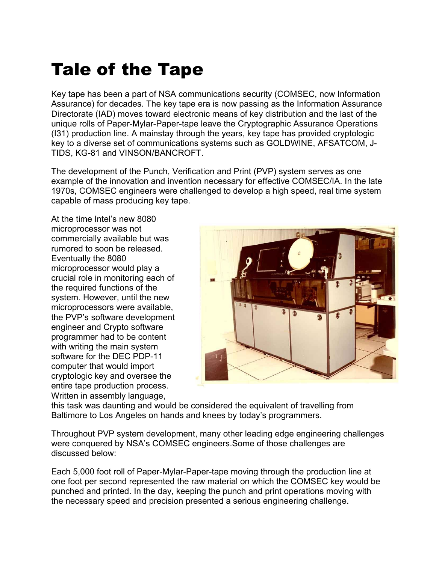## Tale of the Tape

Key tape has been a part of NSA communications security (COMSEC, now Information Assurance) for decades. The key tape era is now passing as the Information Assurance Directorate (IAD) moves toward electronic means of key distribution and the last of the unique rolls of Paper-Mylar-Paper-tape leave the Cryptographic Assurance Operations (I31) production line. A mainstay through the years, key tape has provided cryptologic key to a diverse set of communications systems such as GOLDWINE, AFSATCOM, J-TIDS, KG-81 and VINSON/BANCROFT.

The development of the Punch, Verification and Print (PVP) system serves as one example of the innovation and invention necessary for effective COMSEC/IA. In the late 1970s, COMSEC engineers were challenged to develop a high speed, real time system capable of mass producing key tape.

At the time Intel's new 8080 microprocessor was not commercially available but was rumored to soon be released. Eventually the 8080 microprocessor would play a crucial role in monitoring each of the required functions of the system. However, until the new microprocessors were available, the PVP's software development engineer and Crypto software programmer had to be content with writing the main system software for the DEC PDP-11 computer that would import cryptologic key and oversee the entire tape production process. Written in assembly language,



this task was daunting and would be considered the equivalent of travelling from Baltimore to Los Angeles on hands and knees by today's programmers.

Throughout PVP system development, many other leading edge engineering challenges were conquered by NSA's COMSEC engineers.Some of those challenges are discussed below:

Each 5,000 foot roll of Paper-Mylar-Paper-tape moving through the production line at one foot per second represented the raw material on which the COMSEC key would be punched and printed. In the day, keeping the punch and print operations moving with the necessary speed and precision presented a serious engineering challenge.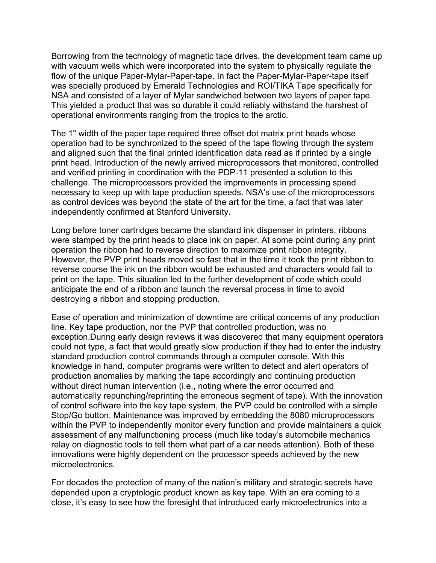Borrowing from the technology of magnetic tape drives, the development team came up with vacuum wells which were incorporated into the system to physically regulate the flow of the unique Paper-Mylar-Paper-tape. In fact the Paper-Mylar-Paper-tape itself was specially produced by Emerald Technologies and ROI/TIKA Tape specifically for NSA and consisted of a layer of Mylar sandwiched between two layers of paper tape. This yielded a product that was so durable it could reliably withstand the harshest of operational environments ranging from the tropics to the arctic.

The 1" width of the paper tape required three offset dot matrix print heads whose operation had to be synchronized to the speed of the tape flowing through the system and aligned such that the final printed identification data read as if printed by a single print head. Introduction of the newly arrived microprocessors that monitored, controlled and verified printing in coordination with the PDP-11 presented a solution to this challenge. The microprocessors provided the improvements in processing speed necessary to keep up with tape production speeds. NSA's use of the microprocessors as control devices was beyond the state of the art for the time, a fact that was later independently confirmed at Stanford University.

Long before toner cartridges became the standard ink dispenser in printers, ribbons were stamped by the print heads to place ink on paper. At some point during any print operation the ribbon had to reverse direction to maximize print ribbon integrity. However, the PVP print heads moved so fast that in the time it took the print ribbon to reverse course the ink on the ribbon would be exhausted and characters would fail to print on the tape. This situation led to the further development of code which could anticipate the end of a ribbon and launch the reversal process in time to avoid destroying a ribbon and stopping production.

Ease of operation and minimization of downtime are critical concerns of any production line. Key tape production, nor the PVP that controlled production, was no exception.During early design reviews it was discovered that many equipment operators could not type, a fact that would greatly slow production if they had to enter the industry standard production control commands through a computer console. With this knowledge in hand, computer programs were written to detect and alert operators of production anomalies by marking the tape accordingly and continuing production without direct human intervention (i.e., noting where the error occurred and automatically repunching/reprinting the erroneous segment of tape). With the innovation of control software into the key tape system, the PVP could be controlled with a simple Stop/Go button. Maintenance was improved by embedding the 8080 microprocessors within the PVP to independently monitor every function and provide maintainers a quick assessment of any malfunctioning process (much like today's automobile mechanics relay on diagnostic tools to tell them what part of a car needs attention). Both of these innovations were highly dependent on the processor speeds achieved by the new microelectronics.

For decades the protection of many of the nation's military and strategic secrets have depended upon a cryptologic product known as key tape. With an era coming to a close, it's easy to see how the foresight that introduced early microelectronics into a